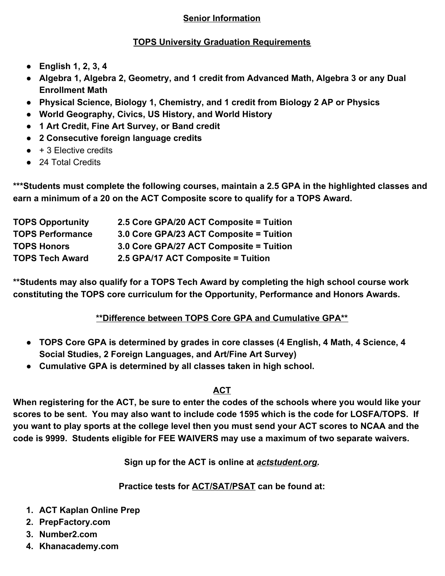## **Senior Information**

## **TOPS University Graduation Requirements**

- **● English 1, 2, 3, 4**
- **● Algebra 1, Algebra 2, Geometry, and 1 credit from Advanced Math, Algebra 3 or any Dual Enrollment Math**
- **● Physical Science, Biology 1, Chemistry, and 1 credit from Biology 2 AP or Physics**
- **● World Geography, Civics, US History, and World History**
- **● 1 Art Credit, Fine Art Survey, or Band credit**
- **● 2 Consecutive foreign language credits**
- $\bullet$  + 3 Elective credits
- 24 Total Credits

**\*\*\*Students must complete the following courses, maintain a 2.5 GPA in the highlighted classes and earn a minimum of a 20 on the ACT Composite score to qualify for a TOPS Award.**

| <b>TOPS Opportunity</b> | 2.5 Core GPA/20 ACT Composite = Tuition |
|-------------------------|-----------------------------------------|
| <b>TOPS Performance</b> | 3.0 Core GPA/23 ACT Composite = Tuition |
| <b>TOPS Honors</b>      | 3.0 Core GPA/27 ACT Composite = Tuition |
| <b>TOPS Tech Award</b>  | 2.5 GPA/17 ACT Composite = Tuition      |

**\*\*Students may also qualify for a TOPS Tech Award by completing the high school course work constituting the TOPS core curriculum for the Opportunity, Performance and Honors Awards.**

# **\*\*Difference between TOPS Core GPA and Cumulative GPA\*\***

- **● TOPS Core GPA is determined by grades in core classes (4 English, 4 Math, 4 Science, 4 Social Studies, 2 Foreign Languages, and Art/Fine Art Survey)**
- **● Cumulative GPA is determined by all classes taken in high school.**

# **ACT**

**When registering for the ACT, be sure to enter the codes of the schools where you would like your scores to be sent. You may also want to include code 1595 which is the code for LOSFA/TOPS. If you want to play sports at the college level then you must send your ACT scores to NCAA and the code is 9999. Students eligible for FEE WAIVERS may use a maximum of two separate waivers.**

**Sign up for the ACT is online at** *actstudent.org***.**

**Practice tests for ACT/SAT/PSAT can be found at:**

- **1. ACT Kaplan Online Prep**
- **2. PrepFactory.com**
- **3. Number2.com**
- **4. Khanacademy.com**